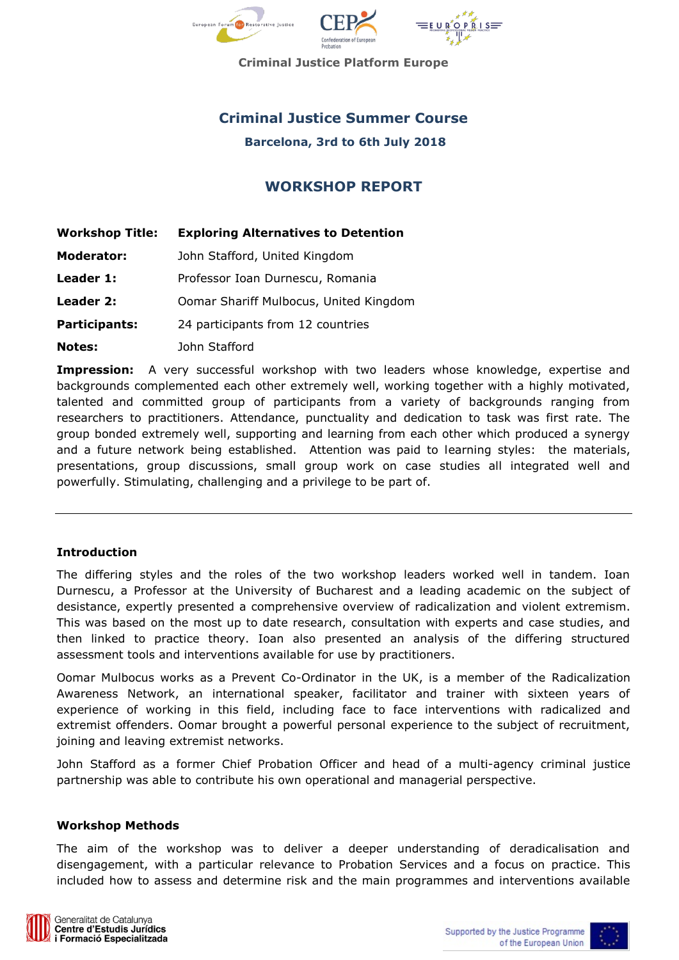

**Criminal Justice Platform Europe**

# **Criminal Justice Summer Course**

**Barcelona, 3rd to 6th July 2018**

# **WORKSHOP REPORT**

| <b>Workshop Title:</b> | <b>Exploring Alternatives to Detention</b> |
|------------------------|--------------------------------------------|
| <b>Moderator:</b>      | John Stafford, United Kingdom              |
| Leader 1:              | Professor Ioan Durnescu, Romania           |
| Leader 2:              | Oomar Shariff Mulbocus, United Kingdom     |
| Participants:          | 24 participants from 12 countries          |
| <b>Notes:</b>          | John Stafford                              |

**Impression:** A very successful workshop with two leaders whose knowledge, expertise and backgrounds complemented each other extremely well, working together with a highly motivated, talented and committed group of participants from a variety of backgrounds ranging from researchers to practitioners. Attendance, punctuality and dedication to task was first rate. The group bonded extremely well, supporting and learning from each other which produced a synergy and a future network being established. Attention was paid to learning styles: the materials, presentations, group discussions, small group work on case studies all integrated well and powerfully. Stimulating, challenging and a privilege to be part of.

### **Introduction**

The differing styles and the roles of the two workshop leaders worked well in tandem. Ioan Durnescu, a Professor at the University of Bucharest and a leading academic on the subject of desistance, expertly presented a comprehensive overview of radicalization and violent extremism. This was based on the most up to date research, consultation with experts and case studies, and then linked to practice theory. Ioan also presented an analysis of the differing structured assessment tools and interventions available for use by practitioners.

Oomar Mulbocus works as a Prevent Co-Ordinator in the UK, is a member of the Radicalization Awareness Network, an international speaker, facilitator and trainer with sixteen years of experience of working in this field, including face to face interventions with radicalized and extremist offenders. Oomar brought a powerful personal experience to the subject of recruitment, joining and leaving extremist networks.

John Stafford as a former Chief Probation Officer and head of a multi-agency criminal justice partnership was able to contribute his own operational and managerial perspective.

#### **Workshop Methods**

The aim of the workshop was to deliver a deeper understanding of deradicalisation and disengagement, with a particular relevance to Probation Services and a focus on practice. This included how to assess and determine risk and the main programmes and interventions available

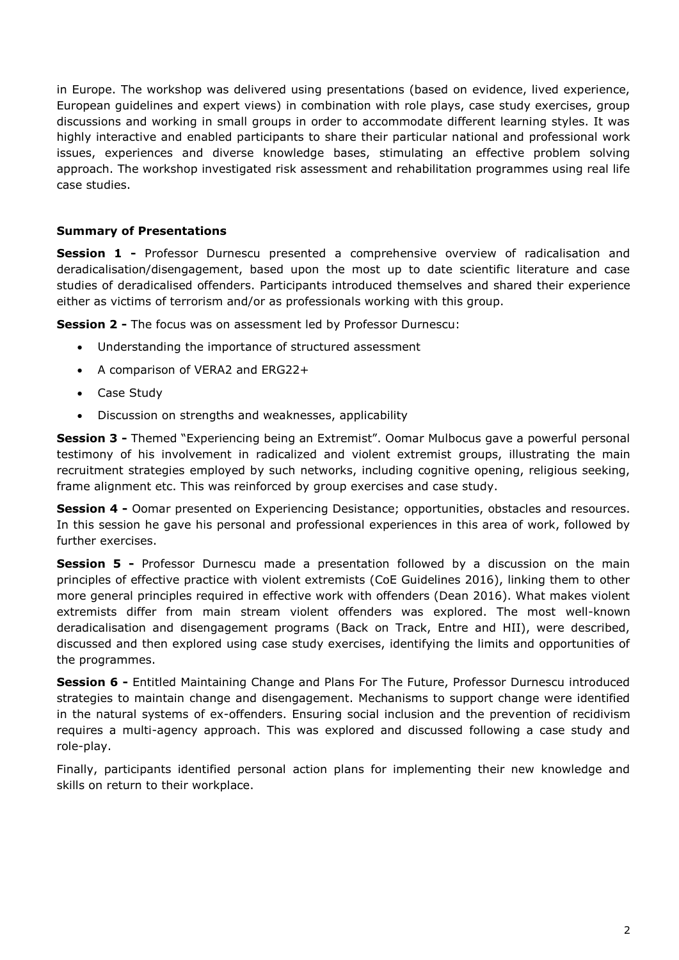in Europe. The workshop was delivered using presentations (based on evidence, lived experience, European guidelines and expert views) in combination with role plays, case study exercises, group discussions and working in small groups in order to accommodate different learning styles. It was highly interactive and enabled participants to share their particular national and professional work issues, experiences and diverse knowledge bases, stimulating an effective problem solving approach. The workshop investigated risk assessment and rehabilitation programmes using real life case studies.

# **Summary of Presentations**

**Session 1 -** Professor Durnescu presented a comprehensive overview of radicalisation and deradicalisation/disengagement, based upon the most up to date scientific literature and case studies of deradicalised offenders. Participants introduced themselves and shared their experience either as victims of terrorism and/or as professionals working with this group.

**Session 2 -** The focus was on assessment led by Professor Durnescu:

- Understanding the importance of structured assessment
- A comparison of VERA2 and ERG22+
- Case Study
- Discussion on strengths and weaknesses, applicability

**Session 3 -** Themed "Experiencing being an Extremist". Oomar Mulbocus gave a powerful personal testimony of his involvement in radicalized and violent extremist groups, illustrating the main recruitment strategies employed by such networks, including cognitive opening, religious seeking, frame alignment etc. This was reinforced by group exercises and case study.

**Session 4 -** Oomar presented on Experiencing Desistance; opportunities, obstacles and resources. In this session he gave his personal and professional experiences in this area of work, followed by further exercises.

**Session 5 -** Professor Durnescu made a presentation followed by a discussion on the main principles of effective practice with violent extremists (CoE Guidelines 2016), linking them to other more general principles required in effective work with offenders (Dean 2016). What makes violent extremists differ from main stream violent offenders was explored. The most well-known deradicalisation and disengagement programs (Back on Track, Entre and HII), were described, discussed and then explored using case study exercises, identifying the limits and opportunities of the programmes.

**Session 6 -** Entitled Maintaining Change and Plans For The Future, Professor Durnescu introduced strategies to maintain change and disengagement. Mechanisms to support change were identified in the natural systems of ex-offenders. Ensuring social inclusion and the prevention of recidivism requires a multi-agency approach. This was explored and discussed following a case study and role-play.

Finally, participants identified personal action plans for implementing their new knowledge and skills on return to their workplace.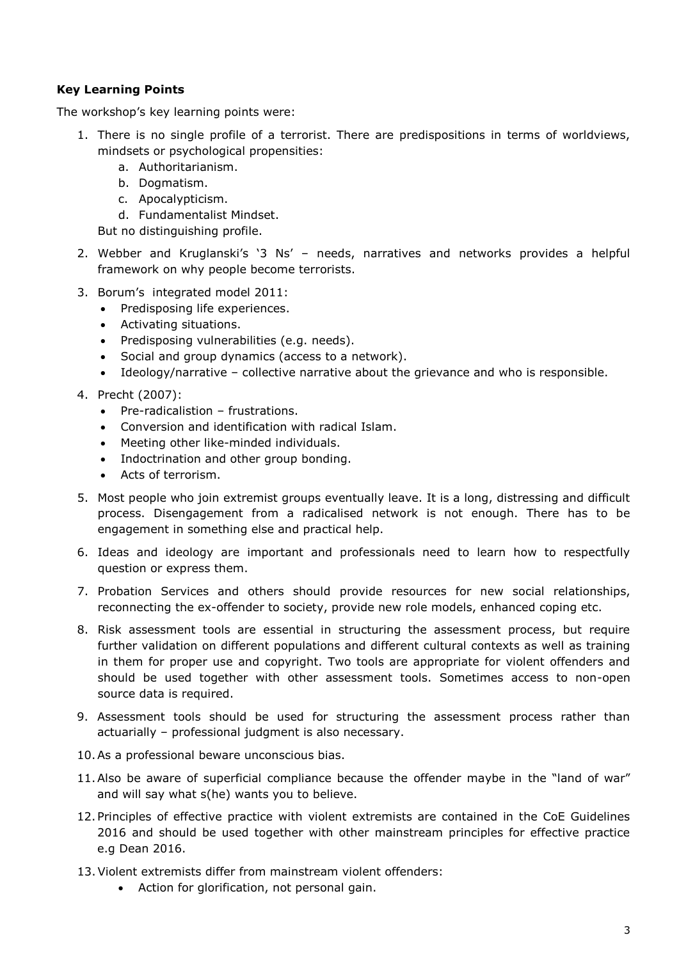# **Key Learning Points**

The workshop's key learning points were:

- 1. There is no single profile of a terrorist. There are predispositions in terms of worldviews, mindsets or psychological propensities:
	- a. Authoritarianism.
	- b. Dogmatism.
	- c. Apocalypticism.
	- d. Fundamentalist Mindset.

But no distinguishing profile.

- 2. Webber and Kruglanski's '3 Ns' needs, narratives and networks provides a helpful framework on why people become terrorists.
- 3. Borum's integrated model 2011:
	- Predisposing life experiences.
	- Activating situations.
	- Predisposing vulnerabilities (e.g. needs).
	- Social and group dynamics (access to a network).
	- Ideology/narrative collective narrative about the grievance and who is responsible.
- 4. Precht (2007):
	- Pre-radicalistion frustrations.
	- Conversion and identification with radical Islam.
	- Meeting other like-minded individuals.
	- Indoctrination and other group bonding.
	- Acts of terrorism.
- 5. Most people who join extremist groups eventually leave. It is a long, distressing and difficult process. Disengagement from a radicalised network is not enough. There has to be engagement in something else and practical help.
- 6. Ideas and ideology are important and professionals need to learn how to respectfully question or express them.
- 7. Probation Services and others should provide resources for new social relationships, reconnecting the ex-offender to society, provide new role models, enhanced coping etc.
- 8. Risk assessment tools are essential in structuring the assessment process, but require further validation on different populations and different cultural contexts as well as training in them for proper use and copyright. Two tools are appropriate for violent offenders and should be used together with other assessment tools. Sometimes access to non-open source data is required.
- 9. Assessment tools should be used for structuring the assessment process rather than actuarially – professional judgment is also necessary.
- 10.As a professional beware unconscious bias.
- 11.Also be aware of superficial compliance because the offender maybe in the "land of war" and will say what s(he) wants you to believe.
- 12.Principles of effective practice with violent extremists are contained in the CoE Guidelines 2016 and should be used together with other mainstream principles for effective practice e.g Dean 2016.
- 13.Violent extremists differ from mainstream violent offenders:
	- Action for glorification, not personal gain.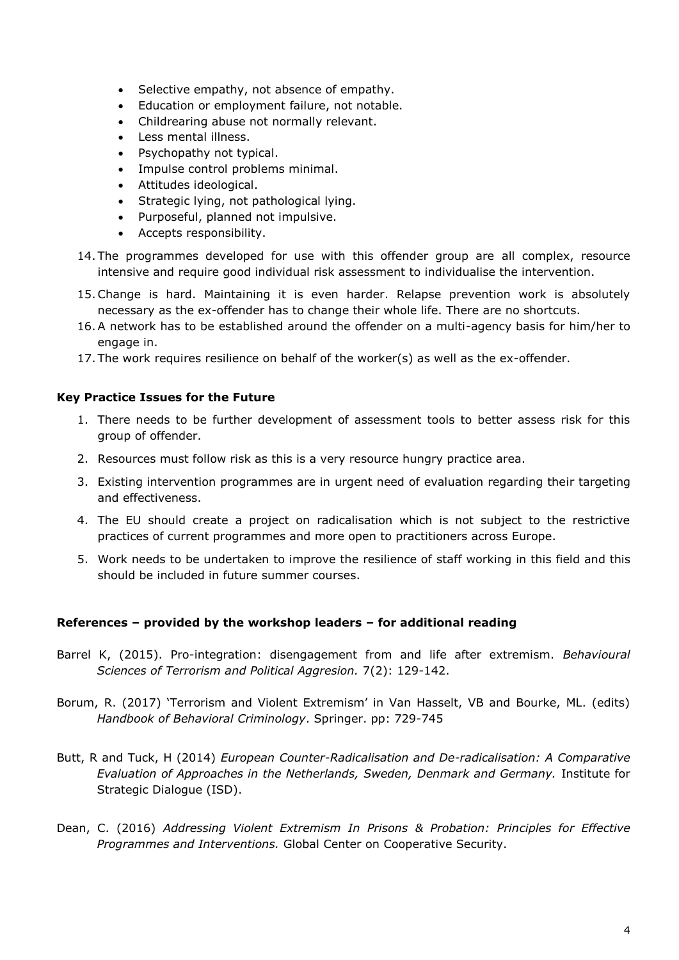- Selective empathy, not absence of empathy.
- Education or employment failure, not notable.
- Childrearing abuse not normally relevant.
- Less mental illness.
- Psychopathy not typical.
- Impulse control problems minimal.
- Attitudes ideological.
- Strategic lying, not pathological lying.
- Purposeful, planned not impulsive.
- Accepts responsibility.
- 14. The programmes developed for use with this offender group are all complex, resource intensive and require good individual risk assessment to individualise the intervention.
- 15.Change is hard. Maintaining it is even harder. Relapse prevention work is absolutely necessary as the ex-offender has to change their whole life. There are no shortcuts.
- 16.A network has to be established around the offender on a multi-agency basis for him/her to engage in.
- 17. The work requires resilience on behalf of the worker(s) as well as the ex-offender.

### **Key Practice Issues for the Future**

- 1. There needs to be further development of assessment tools to better assess risk for this group of offender.
- 2. Resources must follow risk as this is a very resource hungry practice area.
- 3. Existing intervention programmes are in urgent need of evaluation regarding their targeting and effectiveness.
- 4. The EU should create a project on radicalisation which is not subject to the restrictive practices of current programmes and more open to practitioners across Europe.
- 5. Work needs to be undertaken to improve the resilience of staff working in this field and this should be included in future summer courses.

### **References – provided by the workshop leaders – for additional reading**

- Barrel K, (2015). Pro-integration: disengagement from and life after extremism. *Behavioural Sciences of Terrorism and Political Aggresion.* 7(2): 129-142.
- Borum, R. (2017) 'Terrorism and Violent Extremism' in Van Hasselt, VB and Bourke, ML. (edits) *Handbook of Behavioral Criminology*. Springer. pp: 729-745
- Butt, R and Tuck, H (2014) *European Counter-Radicalisation and De-radicalisation: A Comparative Evaluation of Approaches in the Netherlands, Sweden, Denmark and Germany.* Institute for Strategic Dialogue (ISD).
- Dean, C. (2016) *Addressing Violent Extremism In Prisons & Probation: Principles for Effective Programmes and Interventions.* Global Center on Cooperative Security.